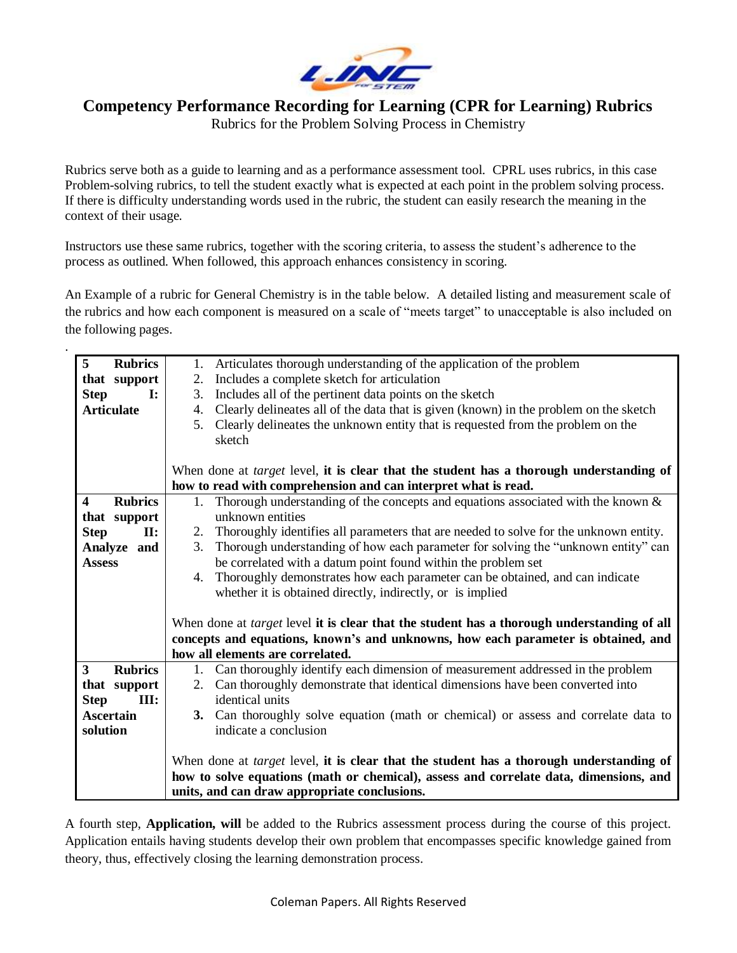

## **Competency Performance Recording for Learning (CPR for Learning) Rubrics**

Rubrics for the Problem Solving Process in Chemistry

Rubrics serve both as a guide to learning and as a performance assessment tool. CPRL uses rubrics, in this case Problem-solving rubrics, to tell the student exactly what is expected at each point in the problem solving process. If there is difficulty understanding words used in the rubric, the student can easily research the meaning in the context of their usage.

Instructors use these same rubrics, together with the scoring criteria, to assess the student's adherence to the process as outlined. When followed, this approach enhances consistency in scoring.

.

An Example of a rubric for General Chemistry is in the table below. A detailed listing and measurement scale of the rubrics and how each component is measured on a scale of "meets target" to unacceptable is also included on the following pages.

| 5<br><b>Rubrics</b>                       | 1. Articulates thorough understanding of the application of the problem                           |  |  |  |  |
|-------------------------------------------|---------------------------------------------------------------------------------------------------|--|--|--|--|
| that support                              | Includes a complete sketch for articulation<br>2.                                                 |  |  |  |  |
| <b>Step</b><br>$\mathbf{I}$ :             | Includes all of the pertinent data points on the sketch<br>3.                                     |  |  |  |  |
| <b>Articulate</b>                         | Clearly delineates all of the data that is given (known) in the problem on the sketch<br>4.       |  |  |  |  |
|                                           | Clearly delineates the unknown entity that is requested from the problem on the<br>5.             |  |  |  |  |
|                                           | sketch                                                                                            |  |  |  |  |
|                                           |                                                                                                   |  |  |  |  |
|                                           | When done at <i>target</i> level, it is clear that the student has a thorough understanding of    |  |  |  |  |
|                                           | how to read with comprehension and can interpret what is read.                                    |  |  |  |  |
| <b>Rubrics</b><br>$\overline{\mathbf{4}}$ | 1. Thorough understanding of the concepts and equations associated with the known $\&$            |  |  |  |  |
| that support                              | unknown entities                                                                                  |  |  |  |  |
| <b>Step</b><br>$\Pi$ :                    | 2. Thoroughly identifies all parameters that are needed to solve for the unknown entity.          |  |  |  |  |
| Analyze and                               | Thorough understanding of how each parameter for solving the "unknown entity" can<br>3.           |  |  |  |  |
| <b>Assess</b>                             | be correlated with a datum point found within the problem set                                     |  |  |  |  |
|                                           | Thoroughly demonstrates how each parameter can be obtained, and can indicate<br>4.                |  |  |  |  |
|                                           | whether it is obtained directly, indirectly, or is implied                                        |  |  |  |  |
|                                           |                                                                                                   |  |  |  |  |
|                                           | When done at <i>target</i> level it is clear that the student has a thorough understanding of all |  |  |  |  |
|                                           | concepts and equations, known's and unknowns, how each parameter is obtained, and                 |  |  |  |  |
|                                           | how all elements are correlated.                                                                  |  |  |  |  |
| $\overline{\mathbf{3}}$<br><b>Rubrics</b> | 1. Can thoroughly identify each dimension of measurement addressed in the problem                 |  |  |  |  |
| that support                              | Can thoroughly demonstrate that identical dimensions have been converted into<br>2.               |  |  |  |  |
| <b>Step</b><br>III:                       | identical units                                                                                   |  |  |  |  |
| <b>Ascertain</b>                          | 3. Can thoroughly solve equation (math or chemical) or assess and correlate data to               |  |  |  |  |
| solution                                  | indicate a conclusion                                                                             |  |  |  |  |
|                                           |                                                                                                   |  |  |  |  |
|                                           | When done at <i>target</i> level, it is clear that the student has a thorough understanding of    |  |  |  |  |
|                                           | how to solve equations (math or chemical), assess and correlate data, dimensions, and             |  |  |  |  |
|                                           | units, and can draw appropriate conclusions.                                                      |  |  |  |  |
|                                           |                                                                                                   |  |  |  |  |

A fourth step, **Application, will** be added to the Rubrics assessment process during the course of this project. Application entails having students develop their own problem that encompasses specific knowledge gained from theory, thus, effectively closing the learning demonstration process.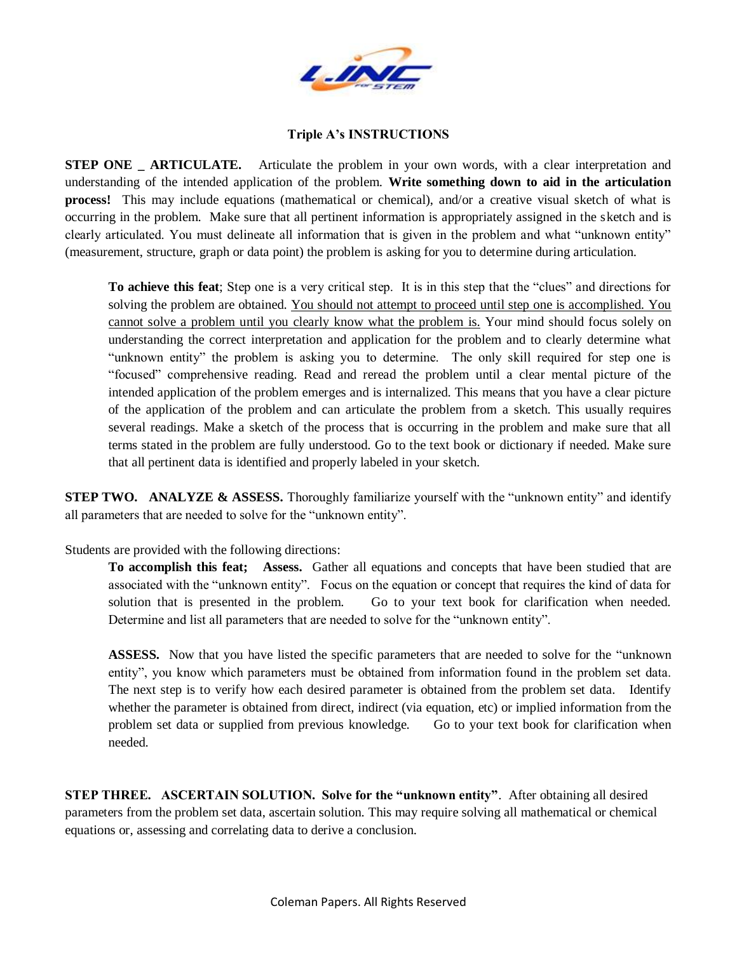

## **Triple A's INSTRUCTIONS**

**STEP ONE** ARTICULATE. Articulate the problem in your own words, with a clear interpretation and understanding of the intended application of the problem. **Write something down to aid in the articulation process!** This may include equations (mathematical or chemical), and/or a creative visual sketch of what is occurring in the problem. Make sure that all pertinent information is appropriately assigned in the sketch and is clearly articulated. You must delineate all information that is given in the problem and what "unknown entity" (measurement, structure, graph or data point) the problem is asking for you to determine during articulation.

**To achieve this feat**; Step one is a very critical step. It is in this step that the "clues" and directions for solving the problem are obtained. You should not attempt to proceed until step one is accomplished. You cannot solve a problem until you clearly know what the problem is. Your mind should focus solely on understanding the correct interpretation and application for the problem and to clearly determine what "unknown entity" the problem is asking you to determine. The only skill required for step one is "focused" comprehensive reading. Read and reread the problem until a clear mental picture of the intended application of the problem emerges and is internalized. This means that you have a clear picture of the application of the problem and can articulate the problem from a sketch. This usually requires several readings. Make a sketch of the process that is occurring in the problem and make sure that all terms stated in the problem are fully understood. Go to the text book or dictionary if needed. Make sure that all pertinent data is identified and properly labeled in your sketch.

**STEP TWO. ANALYZE & ASSESS.** Thoroughly familiarize yourself with the "unknown entity" and identify all parameters that are needed to solve for the "unknown entity".

Students are provided with the following directions:

**To accomplish this feat; Assess.** Gather all equations and concepts that have been studied that are associated with the "unknown entity". Focus on the equation or concept that requires the kind of data for solution that is presented in the problem. Go to your text book for clarification when needed. Determine and list all parameters that are needed to solve for the "unknown entity".

**ASSESS.** Now that you have listed the specific parameters that are needed to solve for the "unknown entity", you know which parameters must be obtained from information found in the problem set data. The next step is to verify how each desired parameter is obtained from the problem set data. Identify whether the parameter is obtained from direct, indirect (via equation, etc) or implied information from the problem set data or supplied from previous knowledge. Go to your text book for clarification when needed.

**STEP THREE.** ASCERTAIN SOLUTION. Solve for the "unknown entity". After obtaining all desired parameters from the problem set data, ascertain solution. This may require solving all mathematical or chemical equations or, assessing and correlating data to derive a conclusion.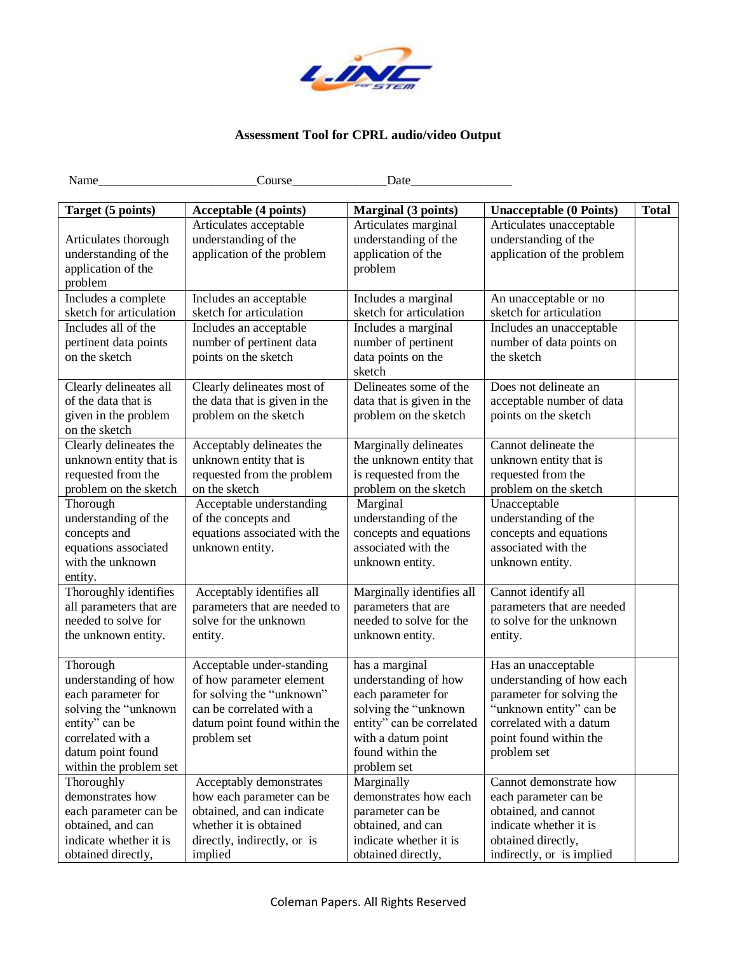

## **Assessment Tool for CPRL audio/video Output**

| Name                                        | Course                                                | Date                                        |                                                      |              |
|---------------------------------------------|-------------------------------------------------------|---------------------------------------------|------------------------------------------------------|--------------|
|                                             |                                                       |                                             |                                                      |              |
| Target (5 points)                           | Acceptable (4 points)                                 | <b>Marginal (3 points)</b>                  | <b>Unacceptable (0 Points)</b>                       | <b>Total</b> |
|                                             | Articulates acceptable                                | Articulates marginal                        | Articulates unacceptable                             |              |
| Articulates thorough                        | understanding of the                                  | understanding of the                        | understanding of the                                 |              |
| understanding of the                        | application of the problem                            | application of the                          | application of the problem                           |              |
| application of the                          |                                                       | problem                                     |                                                      |              |
| problem                                     |                                                       |                                             |                                                      |              |
| Includes a complete                         | Includes an acceptable                                | Includes a marginal                         | An unacceptable or no                                |              |
| sketch for articulation                     | sketch for articulation                               | sketch for articulation                     | sketch for articulation                              |              |
| Includes all of the                         | Includes an acceptable                                | Includes a marginal                         | Includes an unacceptable                             |              |
| pertinent data points                       | number of pertinent data                              | number of pertinent                         | number of data points on                             |              |
| on the sketch                               | points on the sketch                                  | data points on the                          | the sketch                                           |              |
|                                             |                                                       | sketch                                      |                                                      |              |
| Clearly delineates all                      | Clearly delineates most of                            | Delineates some of the                      | Does not delineate an                                |              |
| of the data that is                         | the data that is given in the                         | data that is given in the                   | acceptable number of data                            |              |
| given in the problem                        | problem on the sketch                                 | problem on the sketch                       | points on the sketch                                 |              |
| on the sketch                               |                                                       |                                             |                                                      |              |
| Clearly delineates the                      | Acceptably delineates the                             | Marginally delineates                       | Cannot delineate the                                 |              |
| unknown entity that is                      | unknown entity that is                                | the unknown entity that                     | unknown entity that is                               |              |
| requested from the                          | requested from the problem                            | is requested from the                       | requested from the                                   |              |
| problem on the sketch                       | on the sketch                                         | problem on the sketch                       | problem on the sketch                                |              |
| Thorough                                    | Acceptable understanding                              | Marginal                                    | Unacceptable                                         |              |
| understanding of the                        | of the concepts and                                   | understanding of the                        | understanding of the                                 |              |
| concepts and                                | equations associated with the                         | concepts and equations                      | concepts and equations                               |              |
| equations associated                        | unknown entity.                                       | associated with the                         | associated with the                                  |              |
| with the unknown                            |                                                       | unknown entity.                             | unknown entity.                                      |              |
| entity.                                     |                                                       |                                             |                                                      |              |
| Thoroughly identifies                       | Acceptably identifies all                             | Marginally identifies all                   | Cannot identify all                                  |              |
| all parameters that are                     | parameters that are needed to                         | parameters that are                         | parameters that are needed                           |              |
| needed to solve for                         | solve for the unknown                                 | needed to solve for the                     | to solve for the unknown                             |              |
| the unknown entity.                         | entity.                                               | unknown entity.                             | entity.                                              |              |
|                                             |                                                       |                                             |                                                      |              |
| Thorough                                    | Acceptable under-standing                             | has a marginal                              | Has an unacceptable                                  |              |
| understanding of how                        | of how parameter element<br>for solving the "unknown" | understanding of how                        | understanding of how each                            |              |
| each parameter for<br>solving the "unknown" | can be correlated with a                              | each parameter for<br>solving the "unknown" | parameter for solving the<br>"unknown entity" can be |              |
| entity" can be                              | datum point found within the                          | entity" can be correlated                   | correlated with a datum                              |              |
| correlated with a                           | problem set                                           | with a datum point                          | point found within the                               |              |
| datum point found                           |                                                       | found within the                            |                                                      |              |
| within the problem set                      |                                                       | problem set                                 | problem set                                          |              |
| Thoroughly                                  | Acceptably demonstrates                               | Marginally                                  | Cannot demonstrate how                               |              |
| demonstrates how                            | how each parameter can be                             | demonstrates how each                       | each parameter can be                                |              |
| each parameter can be                       | obtained, and can indicate                            | parameter can be                            | obtained, and cannot                                 |              |
| obtained, and can                           | whether it is obtained                                | obtained, and can                           | indicate whether it is                               |              |
| indicate whether it is                      | directly, indirectly, or is                           | indicate whether it is                      | obtained directly,                                   |              |
| obtained directly,                          | implied                                               | obtained directly,                          | indirectly, or is implied                            |              |
|                                             |                                                       |                                             |                                                      |              |